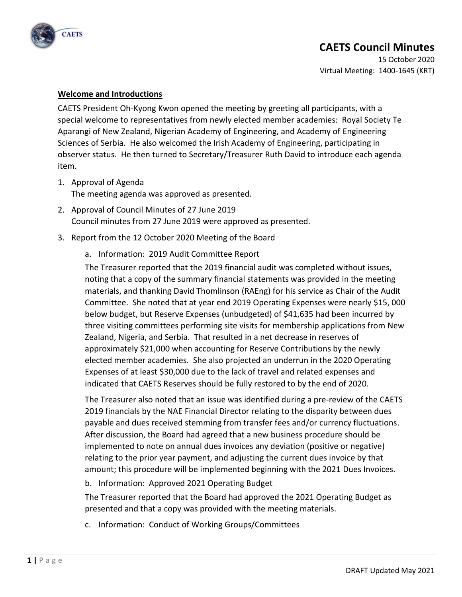

15 October 2020 Virtual Meeting: 1400-1645 (KRT)

#### **Welcome and Introductions**

CAETS President Oh-Kyong Kwon opened the meeting by greeting all participants, with a special welcome to representatives from newly elected member academies: Royal Society Te Aparangi of New Zealand, Nigerian Academy of Engineering, and Academy of Engineering Sciences of Serbia. He also welcomed the Irish Academy of Engineering, participating in observer status. He then turned to Secretary/Treasurer Ruth David to introduce each agenda item.

- 1. Approval of Agenda The meeting agenda was approved as presented.
- 2. Approval of Council Minutes of 27 June 2019 Council minutes from 27 June 2019 were approved as presented.
- 3. Report from the 12 October 2020 Meeting of the Board
	- a. Information: 2019 Audit Committee Report

The Treasurer reported that the 2019 financial audit was completed without issues, noting that a copy of the summary financial statements was provided in the meeting materials, and thanking David Thomlinson (RAEng) for his service as Chair of the Audit Committee. She noted that at year end 2019 Operating Expenses were nearly \$15, 000 below budget, but Reserve Expenses (unbudgeted) of \$41,635 had been incurred by three visiting committees performing site visits for membership applications from New Zealand, Nigeria, and Serbia. That resulted in a net decrease in reserves of approximately \$21,000 when accounting for Reserve Contributions by the newly elected member academies. She also projected an underrun in the 2020 Operating Expenses of at least \$30,000 due to the lack of travel and related expenses and indicated that CAETS Reserves should be fully restored to by the end of 2020.

The Treasurer also noted that an issue was identified during a pre-review of the CAETS 2019 financials by the NAE Financial Director relating to the disparity between dues payable and dues received stemming from transfer fees and/or currency fluctuations. After discussion, the Board had agreed that a new business procedure should be implemented to note on annual dues invoices any deviation (positive or negative) relating to the prior year payment, and adjusting the current dues invoice by that amount; this procedure will be implemented beginning with the 2021 Dues Invoices.

b. Information: Approved 2021 Operating Budget

The Treasurer reported that the Board had approved the 2021 Operating Budget as presented and that a copy was provided with the meeting materials.

c. Information: Conduct of Working Groups/Committees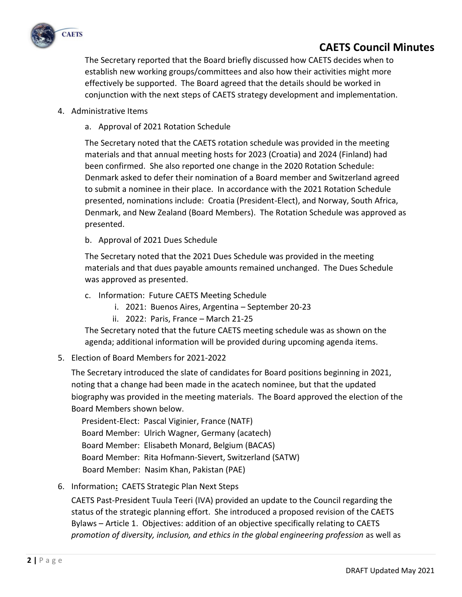

The Secretary reported that the Board briefly discussed how CAETS decides when to establish new working groups/committees and also how their activities might more effectively be supported. The Board agreed that the details should be worked in conjunction with the next steps of CAETS strategy development and implementation.

- 4. Administrative Items
	- a. Approval of 2021 Rotation Schedule

The Secretary noted that the CAETS rotation schedule was provided in the meeting materials and that annual meeting hosts for 2023 (Croatia) and 2024 (Finland) had been confirmed. She also reported one change in the 2020 Rotation Schedule: Denmark asked to defer their nomination of a Board member and Switzerland agreed to submit a nominee in their place. In accordance with the 2021 Rotation Schedule presented, nominations include: Croatia (President-Elect), and Norway, South Africa, Denmark, and New Zealand (Board Members). The Rotation Schedule was approved as presented.

b. Approval of 2021 Dues Schedule

The Secretary noted that the 2021 Dues Schedule was provided in the meeting materials and that dues payable amounts remained unchanged. The Dues Schedule was approved as presented.

- c. Information: Future CAETS Meeting Schedule
	- i. 2021: Buenos Aires, Argentina September 20-23
	- ii. 2022: Paris, France March 21-25

The Secretary noted that the future CAETS meeting schedule was as shown on the agenda; additional information will be provided during upcoming agenda items.

5. Election of Board Members for 2021-2022

The Secretary introduced the slate of candidates for Board positions beginning in 2021, noting that a change had been made in the acatech nominee, but that the updated biography was provided in the meeting materials. The Board approved the election of the Board Members shown below.

 President-Elect: Pascal Viginier, France (NATF) Board Member: Ulrich Wagner, Germany (acatech) Board Member: Elisabeth Monard, Belgium (BACAS) Board Member: Rita Hofmann-Sievert, Switzerland (SATW) Board Member: Nasim Khan, Pakistan (PAE)

6. Information**:** CAETS Strategic Plan Next Steps

CAETS Past-President Tuula Teeri (IVA) provided an update to the Council regarding the status of the strategic planning effort. She introduced a proposed revision of the CAETS Bylaws – Article 1. Objectives: addition of an objective specifically relating to CAETS *promotion of diversity, inclusion, and ethics in the global engineering profession* as well as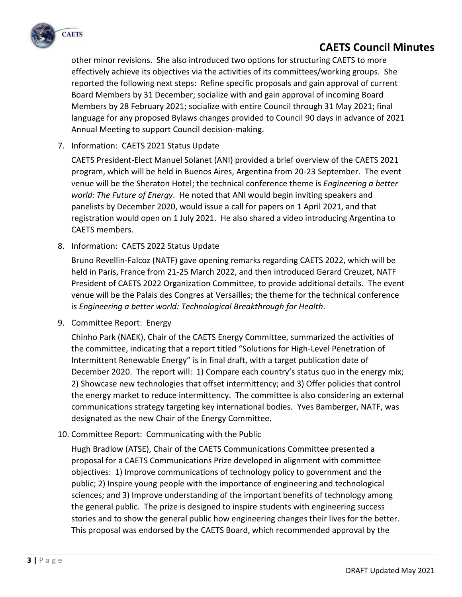

other minor revisions. She also introduced two options for structuring CAETS to more effectively achieve its objectives via the activities of its committees/working groups. She reported the following next steps: Refine specific proposals and gain approval of current Board Members by 31 December; socialize with and gain approval of incoming Board Members by 28 February 2021; socialize with entire Council through 31 May 2021; final language for any proposed Bylaws changes provided to Council 90 days in advance of 2021 Annual Meeting to support Council decision-making.

### 7. Information: CAETS 2021 Status Update

CAETS President-Elect Manuel Solanet (ANI) provided a brief overview of the CAETS 2021 program, which will be held in Buenos Aires, Argentina from 20-23 September. The event venue will be the Sheraton Hotel; the technical conference theme is *Engineering a better world: The Future of Energy*. He noted that ANI would begin inviting speakers and panelists by December 2020, would issue a call for papers on 1 April 2021, and that registration would open on 1 July 2021. He also shared a video introducing Argentina to CAETS members.

8. Information: CAETS 2022 Status Update

Bruno Revellin-Falcoz (NATF) gave opening remarks regarding CAETS 2022, which will be held in Paris, France from 21-25 March 2022, and then introduced Gerard Creuzet, NATF President of CAETS 2022 Organization Committee, to provide additional details. The event venue will be the Palais des Congres at Versailles; the theme for the technical conference is *Engineering a better world: Technological Breakthrough for Health*.

9. Committee Report: Energy

Chinho Park (NAEK), Chair of the CAETS Energy Committee, summarized the activities of the committee, indicating that a report titled "Solutions for High-Level Penetration of Intermittent Renewable Energy" is in final draft, with a target publication date of December 2020. The report will: 1) Compare each country's status quo in the energy mix; 2) Showcase new technologies that offset intermittency; and 3) Offer policies that control the energy market to reduce intermittency. The committee is also considering an external communications strategy targeting key international bodies. Yves Bamberger, NATF, was designated as the new Chair of the Energy Committee.

10. Committee Report: Communicating with the Public

Hugh Bradlow (ATSE), Chair of the CAETS Communications Committee presented a proposal for a CAETS Communications Prize developed in alignment with committee objectives: 1) Improve communications of technology policy to government and the public; 2) Inspire young people with the importance of engineering and technological sciences; and 3) Improve understanding of the important benefits of technology among the general public. The prize is designed to inspire students with engineering success stories and to show the general public how engineering changes their lives for the better. This proposal was endorsed by the CAETS Board, which recommended approval by the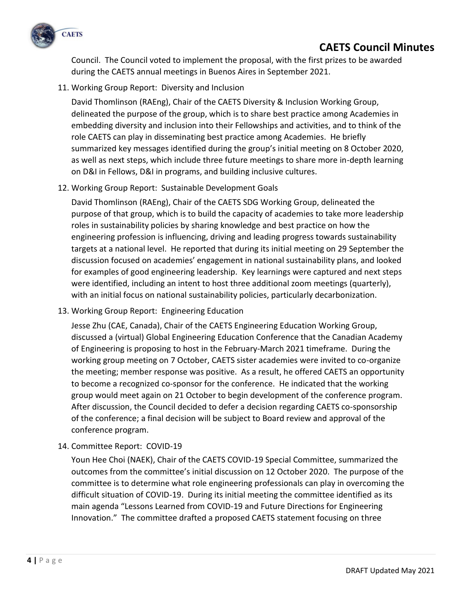

Council. The Council voted to implement the proposal, with the first prizes to be awarded during the CAETS annual meetings in Buenos Aires in September 2021.

11. Working Group Report: Diversity and Inclusion

David Thomlinson (RAEng), Chair of the CAETS Diversity & Inclusion Working Group, delineated the purpose of the group, which is to share best practice among Academies in embedding diversity and inclusion into their Fellowships and activities, and to think of the role CAETS can play in disseminating best practice among Academies. He briefly summarized key messages identified during the group's initial meeting on 8 October 2020, as well as next steps, which include three future meetings to share more in-depth learning on D&I in Fellows, D&I in programs, and building inclusive cultures.

12. Working Group Report: Sustainable Development Goals

David Thomlinson (RAEng), Chair of the CAETS SDG Working Group, delineated the purpose of that group, which is to build the capacity of academies to take more leadership roles in sustainability policies by sharing knowledge and best practice on how the engineering profession is influencing, driving and leading progress towards sustainability targets at a national level. He reported that during its initial meeting on 29 September the discussion focused on academies' engagement in national sustainability plans, and looked for examples of good engineering leadership. Key learnings were captured and next steps were identified, including an intent to host three additional zoom meetings (quarterly), with an initial focus on national sustainability policies, particularly decarbonization.

13. Working Group Report: Engineering Education

Jesse Zhu (CAE, Canada), Chair of the CAETS Engineering Education Working Group, discussed a (virtual) Global Engineering Education Conference that the Canadian Academy of Engineering is proposing to host in the February-March 2021 timeframe. During the working group meeting on 7 October, CAETS sister academies were invited to co-organize the meeting; member response was positive. As a result, he offered CAETS an opportunity to become a recognized co-sponsor for the conference. He indicated that the working group would meet again on 21 October to begin development of the conference program. After discussion, the Council decided to defer a decision regarding CAETS co-sponsorship of the conference; a final decision will be subject to Board review and approval of the conference program.

14. Committee Report: COVID-19

Youn Hee Choi (NAEK), Chair of the CAETS COVID-19 Special Committee, summarized the outcomes from the committee's initial discussion on 12 October 2020. The purpose of the committee is to determine what role engineering professionals can play in overcoming the difficult situation of COVID-19. During its initial meeting the committee identified as its main agenda "Lessons Learned from COVID-19 and Future Directions for Engineering Innovation." The committee drafted a proposed CAETS statement focusing on three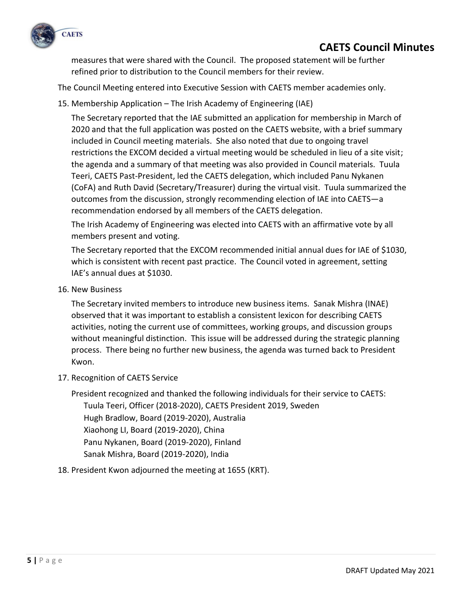

measures that were shared with the Council. The proposed statement will be further refined prior to distribution to the Council members for their review.

The Council Meeting entered into Executive Session with CAETS member academies only.

15. Membership Application – The Irish Academy of Engineering (IAE)

The Secretary reported that the IAE submitted an application for membership in March of 2020 and that the full application was posted on the CAETS website, with a brief summary included in Council meeting materials. She also noted that due to ongoing travel restrictions the EXCOM decided a virtual meeting would be scheduled in lieu of a site visit; the agenda and a summary of that meeting was also provided in Council materials. Tuula Teeri, CAETS Past-President, led the CAETS delegation, which included Panu Nykanen (CoFA) and Ruth David (Secretary/Treasurer) during the virtual visit. Tuula summarized the outcomes from the discussion, strongly recommending election of IAE into CAETS—a recommendation endorsed by all members of the CAETS delegation.

The Irish Academy of Engineering was elected into CAETS with an affirmative vote by all members present and voting.

The Secretary reported that the EXCOM recommended initial annual dues for IAE of \$1030, which is consistent with recent past practice. The Council voted in agreement, setting IAE's annual dues at \$1030.

16. New Business

The Secretary invited members to introduce new business items. Sanak Mishra (INAE) observed that it was important to establish a consistent lexicon for describing CAETS activities, noting the current use of committees, working groups, and discussion groups without meaningful distinction. This issue will be addressed during the strategic planning process. There being no further new business, the agenda was turned back to President Kwon.

17. Recognition of CAETS Service

President recognized and thanked the following individuals for their service to CAETS: Tuula Teeri, Officer (2018-2020), CAETS President 2019, Sweden Hugh Bradlow, Board (2019-2020), Australia Xiaohong LI, Board (2019-2020), China Panu Nykanen, Board (2019-2020), Finland Sanak Mishra, Board (2019-2020), India

### 18. President Kwon adjourned the meeting at 1655 (KRT).